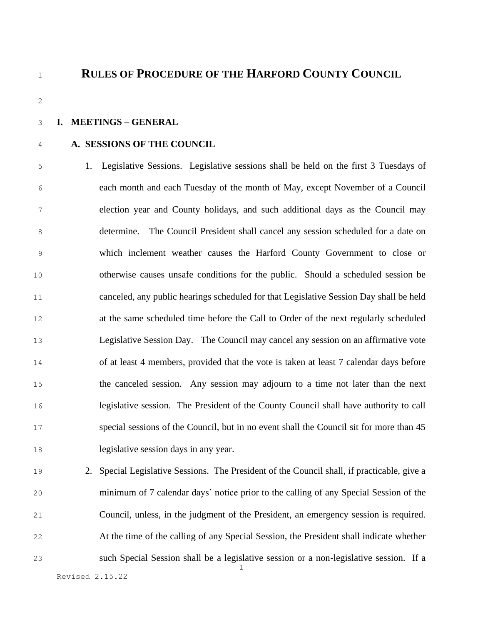### **RULES OF PROCEDURE OF THE HARFORD COUNTY COUNCIL**

#### **I. MEETINGS – GENERAL**

#### **A. SESSIONS OF THE COUNCIL**

 1. Legislative Sessions. Legislative sessions shall be held on the first 3 Tuesdays of each month and each Tuesday of the month of May, except November of a Council election year and County holidays, and such additional days as the Council may determine. The Council President shall cancel any session scheduled for a date on which inclement weather causes the Harford County Government to close or otherwise causes unsafe conditions for the public. Should a scheduled session be canceled, any public hearings scheduled for that Legislative Session Day shall be held at the same scheduled time before the Call to Order of the next regularly scheduled Legislative Session Day. The Council may cancel any session on an affirmative vote of at least 4 members, provided that the vote is taken at least 7 calendar days before the canceled session. Any session may adjourn to a time not later than the next legislative session. The President of the County Council shall have authority to call special sessions of the Council, but in no event shall the Council sit for more than 45 legislative session days in any year.

 2. Special Legislative Sessions. The President of the Council shall, if practicable, give a minimum of 7 calendar days' notice prior to the calling of any Special Session of the Council, unless, in the judgment of the President, an emergency session is required. At the time of the calling of any Special Session, the President shall indicate whether such Special Session shall be a legislative session or a non-legislative session. If a

Revised 2.15.22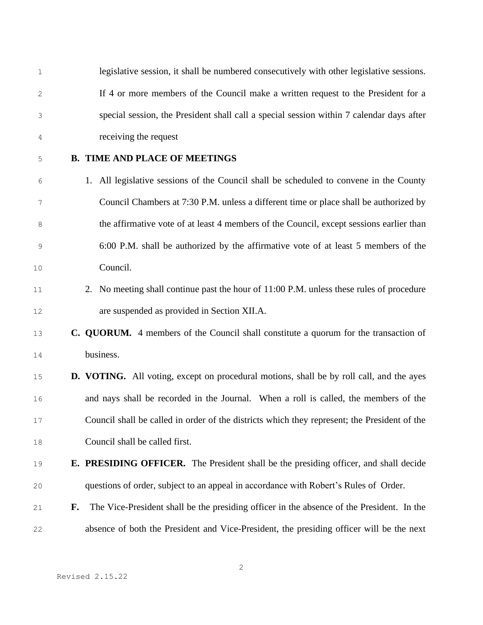| 1  |    | legislative session, it shall be numbered consecutively with other legislative sessions.        |
|----|----|-------------------------------------------------------------------------------------------------|
| 2  |    | If 4 or more members of the Council make a written request to the President for a               |
| 3  |    | special session, the President shall call a special session within 7 calendar days after        |
| 4  |    | receiving the request                                                                           |
| 5  |    | <b>B. TIME AND PLACE OF MEETINGS</b>                                                            |
| 6  |    | 1. All legislative sessions of the Council shall be scheduled to convene in the County          |
| 7  |    | Council Chambers at 7:30 P.M. unless a different time or place shall be authorized by           |
| 8  |    | the affirmative vote of at least 4 members of the Council, except sessions earlier than         |
| 9  |    | 6:00 P.M. shall be authorized by the affirmative vote of at least 5 members of the              |
| 10 |    | Council.                                                                                        |
| 11 |    | 2. No meeting shall continue past the hour of 11:00 P.M. unless these rules of procedure        |
| 12 |    | are suspended as provided in Section XII.A.                                                     |
| 13 |    | C. QUORUM. 4 members of the Council shall constitute a quorum for the transaction of            |
| 14 |    | business.                                                                                       |
| 15 |    | <b>D. VOTING.</b> All voting, except on procedural motions, shall be by roll call, and the ayes |
| 16 |    | and nays shall be recorded in the Journal. When a roll is called, the members of the            |
| 17 |    | Council shall be called in order of the districts which they represent; the President of the    |
| 18 |    | Council shall be called first.                                                                  |
| 19 |    | <b>E. PRESIDING OFFICER.</b> The President shall be the presiding officer, and shall decide     |
| 20 |    | questions of order, subject to an appeal in accordance with Robert's Rules of Order.            |
| 21 | F. | The Vice-President shall be the presiding officer in the absence of the President. In the       |
| 22 |    | absence of both the President and Vice-President, the presiding officer will be the next        |

Revised 2.15.22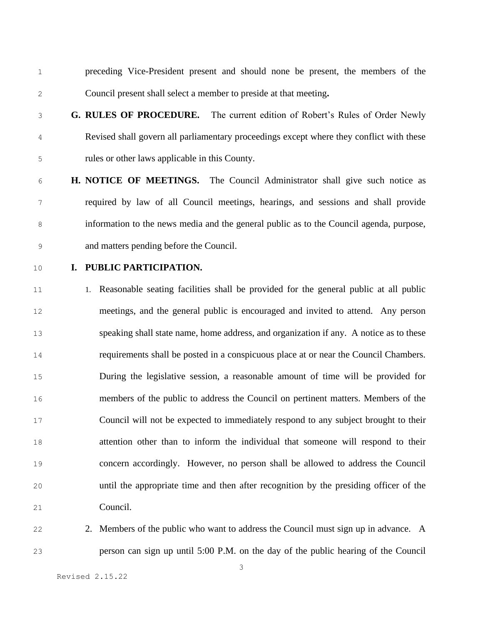- preceding Vice-President present and should none be present, the members of the Council present shall select a member to preside at that meeting**.**
- **G. RULES OF PROCEDURE.** The current edition of Robert's Rules of Order Newly Revised shall govern all parliamentary proceedings except where they conflict with these rules or other laws applicable in this County.
- **H. NOTICE OF MEETINGS.** The Council Administrator shall give such notice as required by law of all Council meetings, hearings, and sessions and shall provide information to the news media and the general public as to the Council agenda, purpose, and matters pending before the Council.
- 

#### **I. PUBLIC PARTICIPATION.**

 1. Reasonable seating facilities shall be provided for the general public at all public meetings, and the general public is encouraged and invited to attend. Any person speaking shall state name, home address, and organization if any. A notice as to these requirements shall be posted in a conspicuous place at or near the Council Chambers. During the legislative session, a reasonable amount of time will be provided for members of the public to address the Council on pertinent matters. Members of the Council will not be expected to immediately respond to any subject brought to their attention other than to inform the individual that someone will respond to their concern accordingly. However, no person shall be allowed to address the Council until the appropriate time and then after recognition by the presiding officer of the Council.

- 
- 22 2. Members of the public who want to address the Council must sign up in advance. A person can sign up until 5:00 P.M. on the day of the public hearing of the Council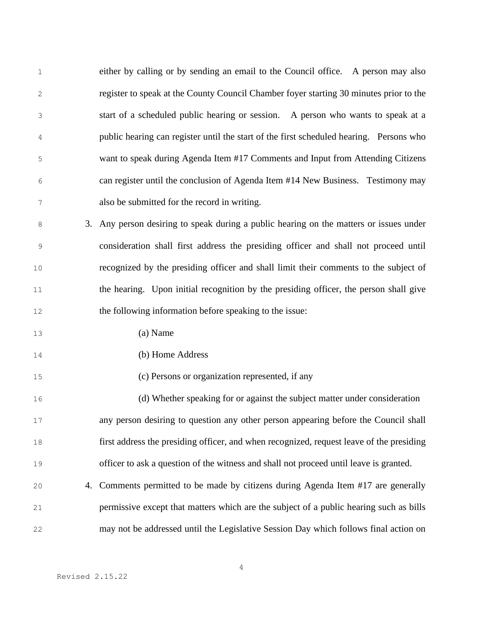| $1\,$ |    | either by calling or by sending an email to the Council office. A person may also        |
|-------|----|------------------------------------------------------------------------------------------|
| 2     |    | register to speak at the County Council Chamber foyer starting 30 minutes prior to the   |
| 3     |    | start of a scheduled public hearing or session. A person who wants to speak at a         |
| 4     |    | public hearing can register until the start of the first scheduled hearing. Persons who  |
| 5     |    | want to speak during Agenda Item #17 Comments and Input from Attending Citizens          |
| 6     |    | can register until the conclusion of Agenda Item #14 New Business. Testimony may         |
| 7     |    | also be submitted for the record in writing.                                             |
| 8     | 3. | Any person desiring to speak during a public hearing on the matters or issues under      |
| 9     |    | consideration shall first address the presiding officer and shall not proceed until      |
| $10$  |    | recognized by the presiding officer and shall limit their comments to the subject of     |
| 11    |    | the hearing. Upon initial recognition by the presiding officer, the person shall give    |
| 12    |    | the following information before speaking to the issue:                                  |
| 13    |    | (a) Name                                                                                 |
| 14    |    | (b) Home Address                                                                         |
| 15    |    | (c) Persons or organization represented, if any                                          |
| 16    |    | (d) Whether speaking for or against the subject matter under consideration               |
| 17    |    | any person desiring to question any other person appearing before the Council shall      |
| 18    |    | first address the presiding officer, and when recognized, request leave of the presiding |
| 19    |    | officer to ask a question of the witness and shall not proceed until leave is granted.   |
| 20    | 4. | Comments permitted to be made by citizens during Agenda Item #17 are generally           |
| 21    |    | permissive except that matters which are the subject of a public hearing such as bills   |
| 22    |    | may not be addressed until the Legislative Session Day which follows final action on     |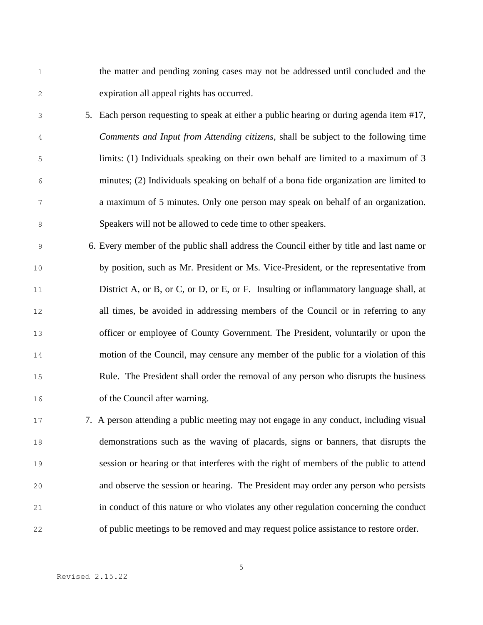the matter and pending zoning cases may not be addressed until concluded and the expiration all appeal rights has occurred.

- 5. Each person requesting to speak at either a public hearing or during agenda item #17, *Comments and Input from Attending citizens*, shall be subject to the following time limits: (1) Individuals speaking on their own behalf are limited to a maximum of 3 minutes; (2) Individuals speaking on behalf of a bona fide organization are limited to a maximum of 5 minutes. Only one person may speak on behalf of an organization. Speakers will not be allowed to cede time to other speakers.
- 6. Every member of the public shall address the Council either by title and last name or by position, such as Mr. President or Ms. Vice-President, or the representative from District A, or B, or C, or D, or E, or F. Insulting or inflammatory language shall, at all times, be avoided in addressing members of the Council or in referring to any officer or employee of County Government. The President, voluntarily or upon the motion of the Council, may censure any member of the public for a violation of this Rule. The President shall order the removal of any person who disrupts the business of the Council after warning.
- 7. A person attending a public meeting may not engage in any conduct, including visual demonstrations such as the waving of placards, signs or banners, that disrupts the session or hearing or that interferes with the right of members of the public to attend and observe the session or hearing. The President may order any person who persists in conduct of this nature or who violates any other regulation concerning the conduct of public meetings to be removed and may request police assistance to restore order.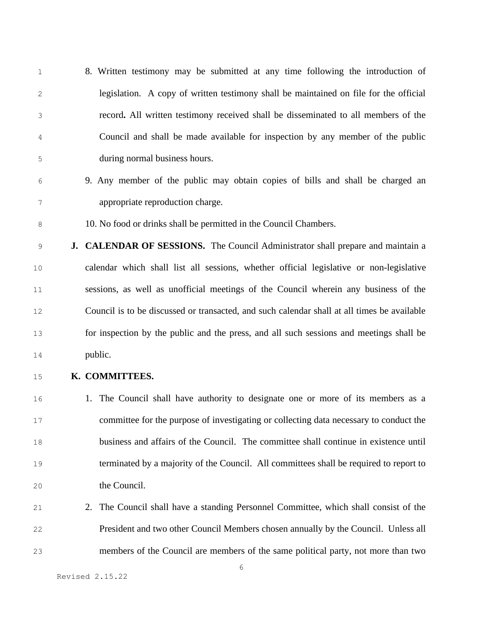- 8. Written testimony may be submitted at any time following the introduction of legislation. A copy of written testimony shall be maintained on file for the official record**.** All written testimony received shall be disseminated to all members of the Council and shall be made available for inspection by any member of the public during normal business hours.
- 9. Any member of the public may obtain copies of bills and shall be charged an appropriate reproduction charge.
- 10. No food or drinks shall be permitted in the Council Chambers.
- **J. CALENDAR OF SESSIONS.** The Council Administrator shall prepare and maintain a calendar which shall list all sessions, whether official legislative or non-legislative sessions, as well as unofficial meetings of the Council wherein any business of the Council is to be discussed or transacted, and such calendar shall at all times be available for inspection by the public and the press, and all such sessions and meetings shall be public.
- **K. COMMITTEES.**
- 1. The Council shall have authority to designate one or more of its members as a committee for the purpose of investigating or collecting data necessary to conduct the business and affairs of the Council. The committee shall continue in existence until terminated by a majority of the Council. All committees shall be required to report to the Council.
- 2. The Council shall have a standing Personnel Committee, which shall consist of the President and two other Council Members chosen annually by the Council. Unless all members of the Council are members of the same political party, not more than two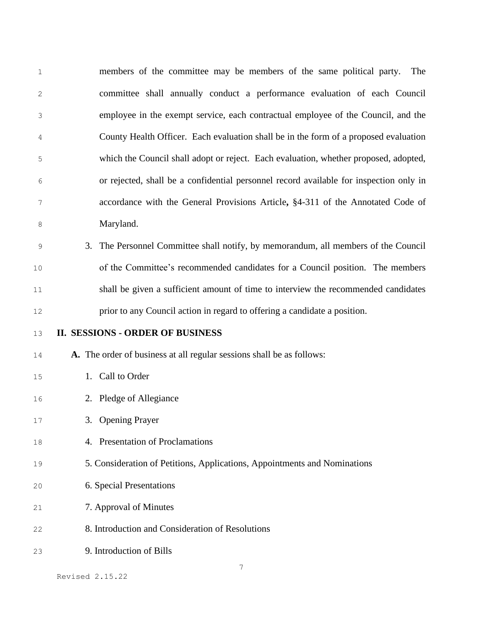| members of the committee may be members of the same political party.<br>The            |
|----------------------------------------------------------------------------------------|
| committee shall annually conduct a performance evaluation of each Council              |
| employee in the exempt service, each contractual employee of the Council, and the      |
| County Health Officer. Each evaluation shall be in the form of a proposed evaluation   |
| which the Council shall adopt or reject. Each evaluation, whether proposed, adopted,   |
| or rejected, shall be a confidential personnel record available for inspection only in |
| accordance with the General Provisions Article, §4-311 of the Annotated Code of        |
| Maryland.                                                                              |
| 3.<br>The Personnel Committee shall notify, by memorandum, all members of the Council  |
| of the Committee's recommended candidates for a Council position. The members          |
| shall be given a sufficient amount of time to interview the recommended candidates     |
|                                                                                        |
| prior to any Council action in regard to offering a candidate a position.              |
| <b>II. SESSIONS - ORDER OF BUSINESS</b>                                                |
| A. The order of business at all regular sessions shall be as follows:                  |
| 1. Call to Order                                                                       |
| 2. Pledge of Allegiance                                                                |
| 3. Opening Prayer                                                                      |
| 4. Presentation of Proclamations                                                       |
| 5. Consideration of Petitions, Applications, Appointments and Nominations              |
| 6. Special Presentations                                                               |
| 7. Approval of Minutes                                                                 |
| 8. Introduction and Consideration of Resolutions                                       |
|                                                                                        |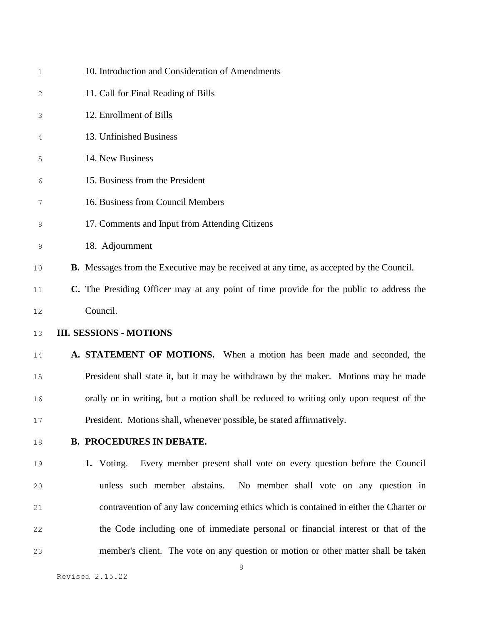| $\mathbf{1}$ | 10. Introduction and Consideration of Amendments                                               |
|--------------|------------------------------------------------------------------------------------------------|
| 2            | 11. Call for Final Reading of Bills                                                            |
| 3            | 12. Enrollment of Bills                                                                        |
| 4            | 13. Unfinished Business                                                                        |
| 5            | 14. New Business                                                                               |
| 6            | 15. Business from the President                                                                |
| 7            | 16. Business from Council Members                                                              |
| 8            | 17. Comments and Input from Attending Citizens                                                 |
| 9            | 18. Adjournment                                                                                |
| 10           | <b>B.</b> Messages from the Executive may be received at any time, as accepted by the Council. |
| 11           | C. The Presiding Officer may at any point of time provide for the public to address the        |
| 12           | Council.                                                                                       |
| 13           | <b>III. SESSIONS - MOTIONS</b>                                                                 |
| 14           | A. STATEMENT OF MOTIONS. When a motion has been made and seconded, the                         |
| 15           | President shall state it, but it may be withdrawn by the maker. Motions may be made            |
| 16           | orally or in writing, but a motion shall be reduced to writing only upon request of the        |
| 17           | President. Motions shall, whenever possible, be stated affirmatively.                          |
| 18           | <b>B. PROCEDURES IN DEBATE.</b>                                                                |
| 19           | 1. Voting.<br>Every member present shall vote on every question before the Council             |
| 20           | unless such member abstains. No member shall vote on any question in                           |
| 21           | contravention of any law concerning ethics which is contained in either the Charter or         |
| 22           | the Code including one of immediate personal or financial interest or that of the              |
| 23           | member's client. The vote on any question or motion or other matter shall be taken             |
|              | 8                                                                                              |

Revised 2.15.22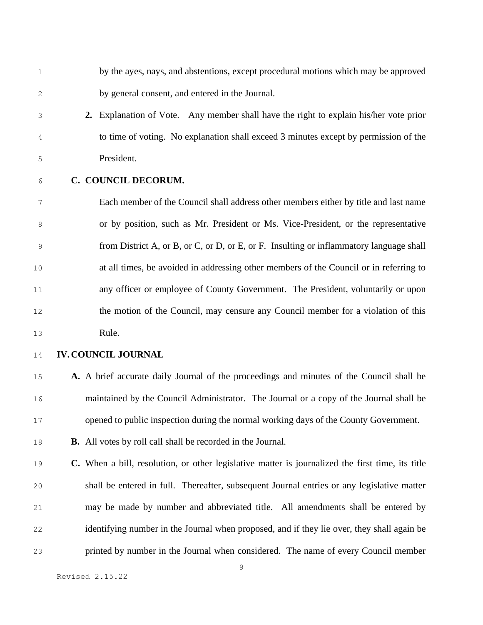by the ayes, nays, and abstentions, except procedural motions which may be approved by general consent, and entered in the Journal.

- **2.** Explanation of Vote. Any member shall have the right to explain his/her vote prior to time of voting. No explanation shall exceed 3 minutes except by permission of the President.
- 

#### **C. COUNCIL DECORUM.**

 Each member of the Council shall address other members either by title and last name or by position, such as Mr. President or Ms. Vice-President, or the representative from District A, or B, or C, or D, or E, or F. Insulting or inflammatory language shall at all times, be avoided in addressing other members of the Council or in referring to any officer or employee of County Government. The President, voluntarily or upon the motion of the Council, may censure any Council member for a violation of this Rule.

- **IV.COUNCIL JOURNAL**
- **A.** A brief accurate daily Journal of the proceedings and minutes of the Council shall be maintained by the Council Administrator. The Journal or a copy of the Journal shall be opened to public inspection during the normal working days of the County Government.
- **B.** All votes by roll call shall be recorded in the Journal.
- **C.** When a bill, resolution, or other legislative matter is journalized the first time, its title shall be entered in full. Thereafter, subsequent Journal entries or any legislative matter may be made by number and abbreviated title. All amendments shall be entered by identifying number in the Journal when proposed, and if they lie over, they shall again be printed by number in the Journal when considered. The name of every Council member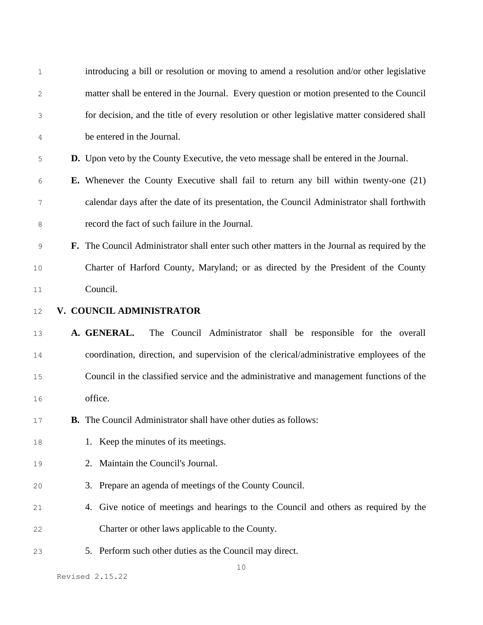| $\mathbf 1$  |          | introducing a bill or resolution or moving to amend a resolution and/or other legislative      |  |  |
|--------------|----------|------------------------------------------------------------------------------------------------|--|--|
| $\mathbf{2}$ |          | matter shall be entered in the Journal. Every question or motion presented to the Council      |  |  |
| 3            |          | for decision, and the title of every resolution or other legislative matter considered shall   |  |  |
| 4            |          | be entered in the Journal.                                                                     |  |  |
| 5            |          | <b>D.</b> Upon veto by the County Executive, the veto message shall be entered in the Journal. |  |  |
| 6            |          | <b>E.</b> Whenever the County Executive shall fail to return any bill within twenty-one (21)   |  |  |
| 7            |          | calendar days after the date of its presentation, the Council Administrator shall forthwith    |  |  |
| 8            |          | record the fact of such failure in the Journal.                                                |  |  |
| $\mathsf 9$  |          | F. The Council Administrator shall enter such other matters in the Journal as required by the  |  |  |
| $10$         |          | Charter of Harford County, Maryland; or as directed by the President of the County             |  |  |
| $11\,$       | Council. |                                                                                                |  |  |
| 12           |          | V. COUNCIL ADMINISTRATOR                                                                       |  |  |
| 13           |          | A. GENERAL.<br>The Council Administrator shall be responsible for the overall                  |  |  |
| $1\,4$       |          | coordination, direction, and supervision of the clerical/administrative employees of the       |  |  |
| $15\,$       |          | Council in the classified service and the administrative and management functions of the       |  |  |
| 16           |          | office.                                                                                        |  |  |
| 17           |          | <b>B.</b> The Council Administrator shall have other duties as follows:                        |  |  |
| 18           |          | 1. Keep the minutes of its meetings.                                                           |  |  |
| 19           |          | Maintain the Council's Journal.<br>2.                                                          |  |  |
|              |          | Prepare an agenda of meetings of the County Council.<br>3.                                     |  |  |
| $20$         |          | 4. Give notice of meetings and hearings to the Council and others as required by the           |  |  |
| 21           |          |                                                                                                |  |  |
| 22           |          | Charter or other laws applicable to the County.                                                |  |  |
| 23           |          | 5. Perform such other duties as the Council may direct.                                        |  |  |

Revised 2.15.22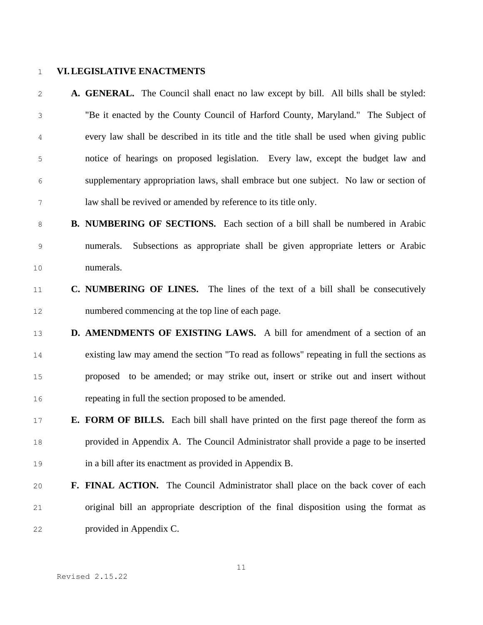#### **VI.LEGISLATIVE ENACTMENTS**

 **A. GENERAL.** The Council shall enact no law except by bill. All bills shall be styled: "Be it enacted by the County Council of Harford County, Maryland." The Subject of every law shall be described in its title and the title shall be used when giving public notice of hearings on proposed legislation. Every law, except the budget law and supplementary appropriation laws, shall embrace but one subject. No law or section of law shall be revived or amended by reference to its title only.

- **B. NUMBERING OF SECTIONS.** Each section of a bill shall be numbered in Arabic numerals. Subsections as appropriate shall be given appropriate letters or Arabic numerals.
- **C. NUMBERING OF LINES.** The lines of the text of a bill shall be consecutively numbered commencing at the top line of each page.
- **D. AMENDMENTS OF EXISTING LAWS.** A bill for amendment of a section of an existing law may amend the section "To read as follows" repeating in full the sections as proposed to be amended; or may strike out, insert or strike out and insert without repeating in full the section proposed to be amended.
- **E. FORM OF BILLS.** Each bill shall have printed on the first page thereof the form as provided in Appendix A. The Council Administrator shall provide a page to be inserted in a bill after its enactment as provided in Appendix B.
- **F. FINAL ACTION.** The Council Administrator shall place on the back cover of each original bill an appropriate description of the final disposition using the format as provided in Appendix C.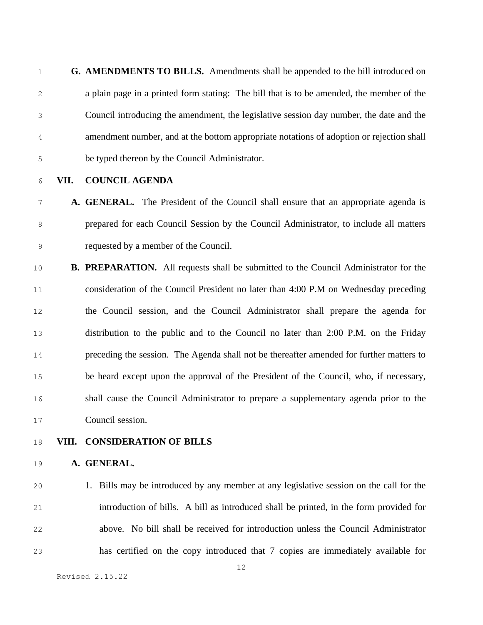**G. AMENDMENTS TO BILLS.** Amendments shall be appended to the bill introduced on a plain page in a printed form stating: The bill that is to be amended, the member of the Council introducing the amendment, the legislative session day number, the date and the amendment number, and at the bottom appropriate notations of adoption or rejection shall be typed thereon by the Council Administrator.

#### **VII. COUNCIL AGENDA**

### **A. GENERAL.** The President of the Council shall ensure that an appropriate agenda is prepared for each Council Session by the Council Administrator, to include all matters requested by a member of the Council.

 **B. PREPARATION.** All requests shall be submitted to the Council Administrator for the consideration of the Council President no later than 4:00 P.M on Wednesday preceding the Council session, and the Council Administrator shall prepare the agenda for distribution to the public and to the Council no later than 2:00 P.M. on the Friday preceding the session. The Agenda shall not be thereafter amended for further matters to be heard except upon the approval of the President of the Council, who, if necessary, shall cause the Council Administrator to prepare a supplementary agenda prior to the Council session.

**VIII. CONSIDERATION OF BILLS**

#### **A. GENERAL.**

 1. Bills may be introduced by any member at any legislative session on the call for the introduction of bills. A bill as introduced shall be printed, in the form provided for above. No bill shall be received for introduction unless the Council Administrator has certified on the copy introduced that 7 copies are immediately available for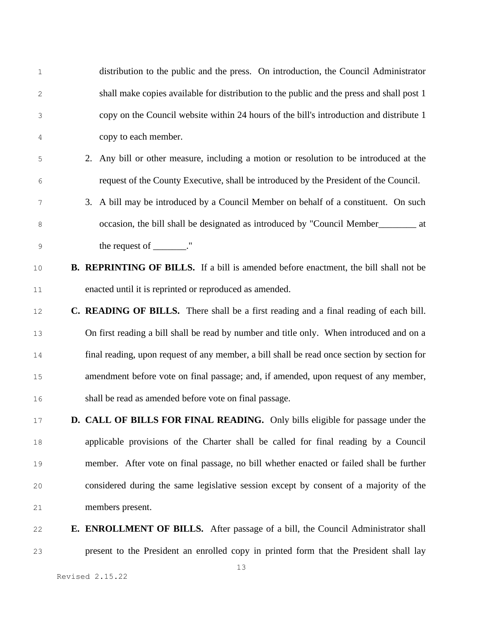distribution to the public and the press. On introduction, the Council Administrator shall make copies available for distribution to the public and the press and shall post 1 copy on the Council website within 24 hours of the bill's introduction and distribute 1 copy to each member.

- 2. Any bill or other measure, including a motion or resolution to be introduced at the request of the County Executive, shall be introduced by the President of the Council.
- 3. A bill may be introduced by a Council Member on behalf of a constituent. On such occasion, the bill shall be designated as introduced by "Council Member\_\_\_\_\_\_\_\_ at 9 the request of \_\_\_\_\_\_\_."
- **B. REPRINTING OF BILLS.** If a bill is amended before enactment, the bill shall not be enacted until it is reprinted or reproduced as amended.
- **C. READING OF BILLS.** There shall be a first reading and a final reading of each bill. On first reading a bill shall be read by number and title only. When introduced and on a final reading, upon request of any member, a bill shall be read once section by section for amendment before vote on final passage; and, if amended, upon request of any member, shall be read as amended before vote on final passage.
- **D. CALL OF BILLS FOR FINAL READING.** Only bills eligible for passage under the applicable provisions of the Charter shall be called for final reading by a Council member. After vote on final passage, no bill whether enacted or failed shall be further considered during the same legislative session except by consent of a majority of the members present.
- **E. ENROLLMENT OF BILLS.** After passage of a bill, the Council Administrator shall present to the President an enrolled copy in printed form that the President shall lay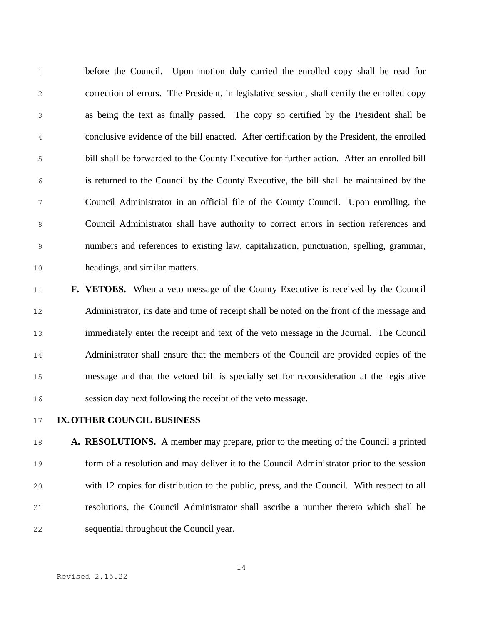before the Council. Upon motion duly carried the enrolled copy shall be read for correction of errors. The President, in legislative session, shall certify the enrolled copy as being the text as finally passed. The copy so certified by the President shall be conclusive evidence of the bill enacted. After certification by the President, the enrolled bill shall be forwarded to the County Executive for further action. After an enrolled bill is returned to the Council by the County Executive, the bill shall be maintained by the Council Administrator in an official file of the County Council. Upon enrolling, the Council Administrator shall have authority to correct errors in section references and numbers and references to existing law, capitalization, punctuation, spelling, grammar, headings, and similar matters.

# **F. VETOES.** When a veto message of the County Executive is received by the Council Administrator, its date and time of receipt shall be noted on the front of the message and immediately enter the receipt and text of the veto message in the Journal. The Council Administrator shall ensure that the members of the Council are provided copies of the message and that the vetoed bill is specially set for reconsideration at the legislative session day next following the receipt of the veto message.

#### **IX.OTHER COUNCIL BUSINESS**

 **A. RESOLUTIONS.** A member may prepare, prior to the meeting of the Council a printed form of a resolution and may deliver it to the Council Administrator prior to the session with 12 copies for distribution to the public, press, and the Council. With respect to all resolutions, the Council Administrator shall ascribe a number thereto which shall be sequential throughout the Council year.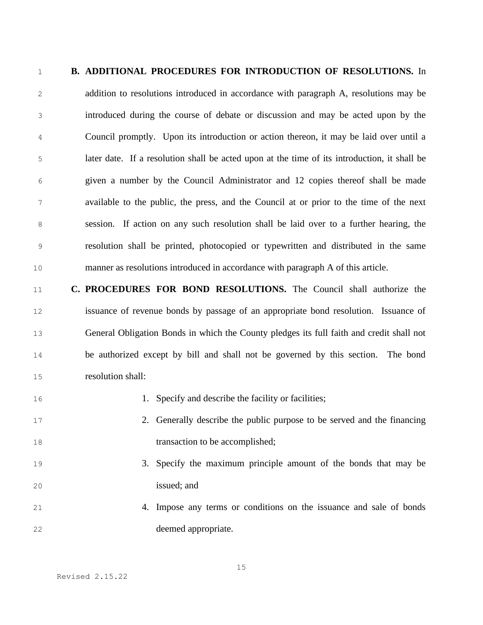#### **B. ADDITIONAL PROCEDURES FOR INTRODUCTION OF RESOLUTIONS.** In

 addition to resolutions introduced in accordance with paragraph A, resolutions may be introduced during the course of debate or discussion and may be acted upon by the Council promptly. Upon its introduction or action thereon, it may be laid over until a later date. If a resolution shall be acted upon at the time of its introduction, it shall be given a number by the Council Administrator and 12 copies thereof shall be made available to the public, the press, and the Council at or prior to the time of the next session. If action on any such resolution shall be laid over to a further hearing, the resolution shall be printed, photocopied or typewritten and distributed in the same manner as resolutions introduced in accordance with paragraph A of this article.

 **C. PROCEDURES FOR BOND RESOLUTIONS.** The Council shall authorize the issuance of revenue bonds by passage of an appropriate bond resolution. Issuance of General Obligation Bonds in which the County pledges its full faith and credit shall not be authorized except by bill and shall not be governed by this section. The bond resolution shall:

### 16 1. Specify and describe the facility or facilities;

- 2. Generally describe the public purpose to be served and the financing 18 transaction to be accomplished;
- 3. Specify the maximum principle amount of the bonds that may be issued; and
- 4. Impose any terms or conditions on the issuance and sale of bonds deemed appropriate.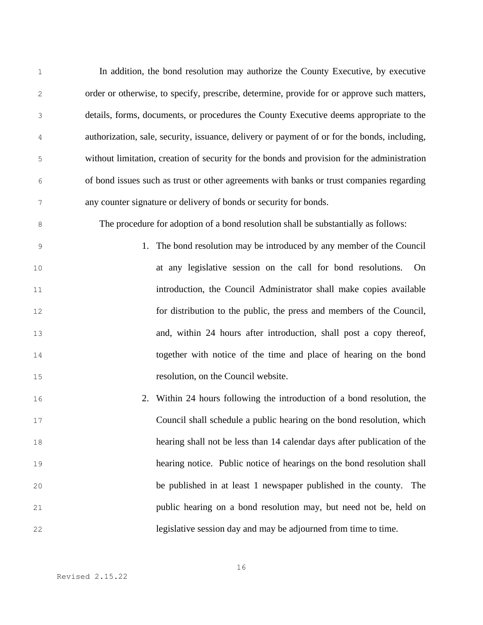In addition, the bond resolution may authorize the County Executive, by executive order or otherwise, to specify, prescribe, determine, provide for or approve such matters, details, forms, documents, or procedures the County Executive deems appropriate to the authorization, sale, security, issuance, delivery or payment of or for the bonds, including, without limitation, creation of security for the bonds and provision for the administration of bond issues such as trust or other agreements with banks or trust companies regarding any counter signature or delivery of bonds or security for bonds. The procedure for adoption of a bond resolution shall be substantially as follows: 1. The bond resolution may be introduced by any member of the Council at any legislative session on the call for bond resolutions. On introduction, the Council Administrator shall make copies available for distribution to the public, the press and members of the Council, and, within 24 hours after introduction, shall post a copy thereof, together with notice of the time and place of hearing on the bond resolution, on the Council website. 2. Within 24 hours following the introduction of a bond resolution, the Council shall schedule a public hearing on the bond resolution, which hearing shall not be less than 14 calendar days after publication of the hearing notice. Public notice of hearings on the bond resolution shall be published in at least 1 newspaper published in the county. The public hearing on a bond resolution may, but need not be, held on legislative session day and may be adjourned from time to time.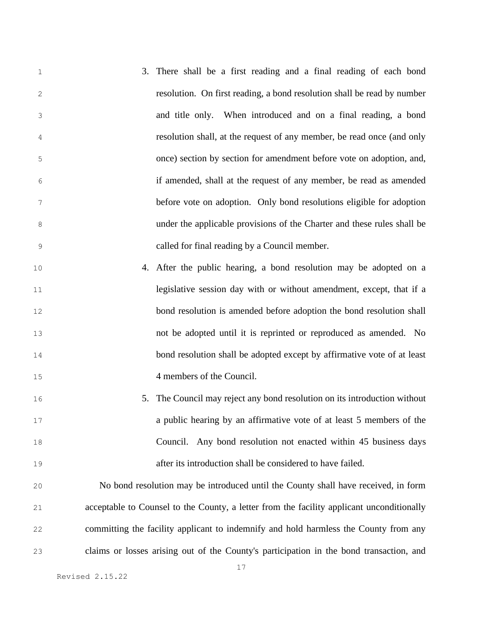3. There shall be a first reading and a final reading of each bond resolution. On first reading, a bond resolution shall be read by number and title only. When introduced and on a final reading, a bond resolution shall, at the request of any member, be read once (and only once) section by section for amendment before vote on adoption, and, if amended, shall at the request of any member, be read as amended before vote on adoption. Only bond resolutions eligible for adoption under the applicable provisions of the Charter and these rules shall be called for final reading by a Council member.

- 4. After the public hearing, a bond resolution may be adopted on a **legislative session day with or without amendment, except, that if a**  bond resolution is amended before adoption the bond resolution shall not be adopted until it is reprinted or reproduced as amended. No bond resolution shall be adopted except by affirmative vote of at least 4 members of the Council.
- 5. The Council may reject any bond resolution on its introduction without a public hearing by an affirmative vote of at least 5 members of the Council. Any bond resolution not enacted within 45 business days after its introduction shall be considered to have failed.

 No bond resolution may be introduced until the County shall have received, in form acceptable to Counsel to the County, a letter from the facility applicant unconditionally committing the facility applicant to indemnify and hold harmless the County from any claims or losses arising out of the County's participation in the bond transaction, and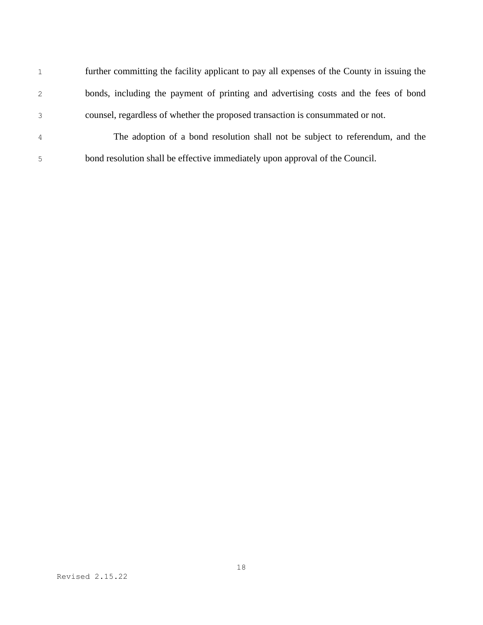| $\mathbf{1}$   | further committing the facility applicant to pay all expenses of the County in issuing the |
|----------------|--------------------------------------------------------------------------------------------|
| 2              | bonds, including the payment of printing and advertising costs and the fees of bond        |
| 3              | counsel, regardless of whether the proposed transaction is consummated or not.             |
| $\overline{4}$ | The adoption of a bond resolution shall not be subject to referendum, and the              |
| 5              | bond resolution shall be effective immediately upon approval of the Council.               |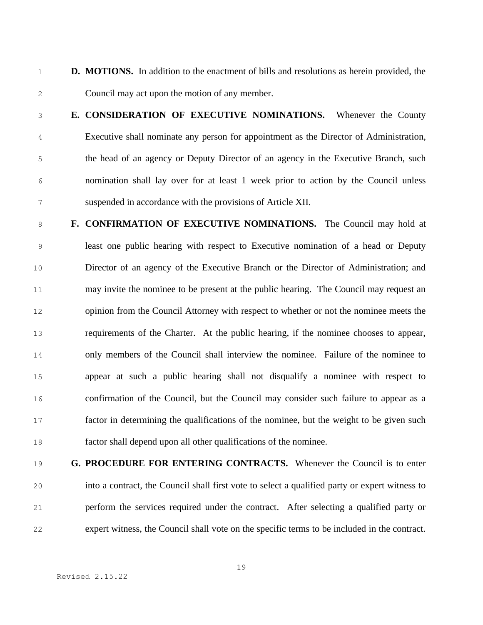- 1 **D. MOTIONS.** In addition to the enactment of bills and resolutions as herein provided, the Council may act upon the motion of any member.
- 

 **E. CONSIDERATION OF EXECUTIVE NOMINATIONS.** Whenever the County Executive shall nominate any person for appointment as the Director of Administration, the head of an agency or Deputy Director of an agency in the Executive Branch, such nomination shall lay over for at least 1 week prior to action by the Council unless suspended in accordance with the provisions of Article XII.

 **F. CONFIRMATION OF EXECUTIVE NOMINATIONS.** The Council may hold at least one public hearing with respect to Executive nomination of a head or Deputy Director of an agency of the Executive Branch or the Director of Administration; and may invite the nominee to be present at the public hearing. The Council may request an opinion from the Council Attorney with respect to whether or not the nominee meets the requirements of the Charter. At the public hearing, if the nominee chooses to appear, only members of the Council shall interview the nominee. Failure of the nominee to appear at such a public hearing shall not disqualify a nominee with respect to confirmation of the Council, but the Council may consider such failure to appear as a factor in determining the qualifications of the nominee, but the weight to be given such factor shall depend upon all other qualifications of the nominee.

 **G. PROCEDURE FOR ENTERING CONTRACTS.** Whenever the Council is to enter into a contract, the Council shall first vote to select a qualified party or expert witness to perform the services required under the contract. After selecting a qualified party or expert witness, the Council shall vote on the specific terms to be included in the contract.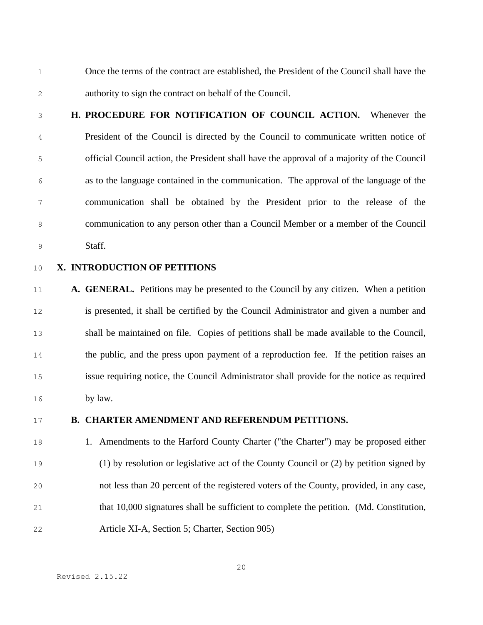- Once the terms of the contract are established, the President of the Council shall have the authority to sign the contract on behalf of the Council.
- 

 **H. PROCEDURE FOR NOTIFICATION OF COUNCIL ACTION.** Whenever the President of the Council is directed by the Council to communicate written notice of official Council action, the President shall have the approval of a majority of the Council as to the language contained in the communication. The approval of the language of the communication shall be obtained by the President prior to the release of the communication to any person other than a Council Member or a member of the Council Staff.

#### **X. INTRODUCTION OF PETITIONS**

 **A. GENERAL.** Petitions may be presented to the Council by any citizen. When a petition is presented, it shall be certified by the Council Administrator and given a number and shall be maintained on file. Copies of petitions shall be made available to the Council, the public, and the press upon payment of a reproduction fee. If the petition raises an issue requiring notice, the Council Administrator shall provide for the notice as required by law.

#### **B. CHARTER AMENDMENT AND REFERENDUM PETITIONS.**

 1. Amendments to the Harford County Charter ("the Charter") may be proposed either (1) by resolution or legislative act of the County Council or (2) by petition signed by not less than 20 percent of the registered voters of the County, provided, in any case, that 10,000 signatures shall be sufficient to complete the petition. (Md. Constitution, Article XI-A, Section 5; Charter, Section 905)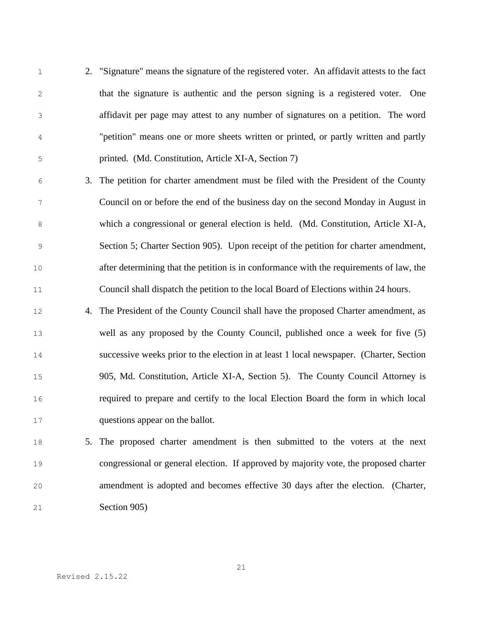- 2. "Signature" means the signature of the registered voter. An affidavit attests to the fact that the signature is authentic and the person signing is a registered voter. One affidavit per page may attest to any number of signatures on a petition. The word "petition" means one or more sheets written or printed, or partly written and partly printed. (Md. Constitution, Article XI-A, Section 7)
- 3. The petition for charter amendment must be filed with the President of the County Council on or before the end of the business day on the second Monday in August in which a congressional or general election is held. (Md. Constitution, Article XI-A, Section 5; Charter Section 905). Upon receipt of the petition for charter amendment, after determining that the petition is in conformance with the requirements of law, the Council shall dispatch the petition to the local Board of Elections within 24 hours.
- 4. The President of the County Council shall have the proposed Charter amendment, as well as any proposed by the County Council, published once a week for five (5) successive weeks prior to the election in at least 1 local newspaper. (Charter, Section 905, Md. Constitution, Article XI-A, Section 5). The County Council Attorney is required to prepare and certify to the local Election Board the form in which local questions appear on the ballot.

## 5. The proposed charter amendment is then submitted to the voters at the next congressional or general election. If approved by majority vote, the proposed charter amendment is adopted and becomes effective 30 days after the election. (Charter, Section 905)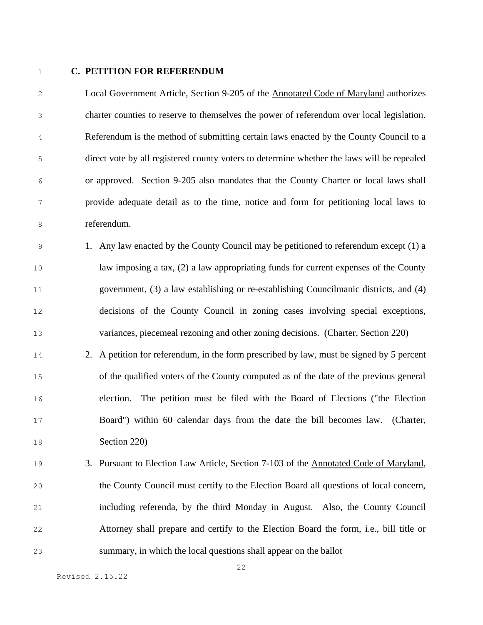#### **C. PETITION FOR REFERENDUM**

 Local Government Article, Section 9-205 of the Annotated Code of Maryland authorizes charter counties to reserve to themselves the power of referendum over local legislation. Referendum is the method of submitting certain laws enacted by the County Council to a direct vote by all registered county voters to determine whether the laws will be repealed or approved. Section 9-205 also mandates that the County Charter or local laws shall provide adequate detail as to the time, notice and form for petitioning local laws to referendum.

 1. Any law enacted by the County Council may be petitioned to referendum except (1) a law imposing a tax, (2) a law appropriating funds for current expenses of the County government, (3) a law establishing or re-establishing Councilmanic districts, and (4) decisions of the County Council in zoning cases involving special exceptions, variances, piecemeal rezoning and other zoning decisions. (Charter, Section 220)

- 2. A petition for referendum, in the form prescribed by law, must be signed by 5 percent of the qualified voters of the County computed as of the date of the previous general election. The petition must be filed with the Board of Elections ("the Election Board") within 60 calendar days from the date the bill becomes law. (Charter, Section 220)
- 3. Pursuant to Election Law Article, Section 7-103 of the Annotated Code of Maryland, the County Council must certify to the Election Board all questions of local concern, including referenda, by the third Monday in August. Also, the County Council Attorney shall prepare and certify to the Election Board the form, i.e., bill title or summary, in which the local questions shall appear on the ballot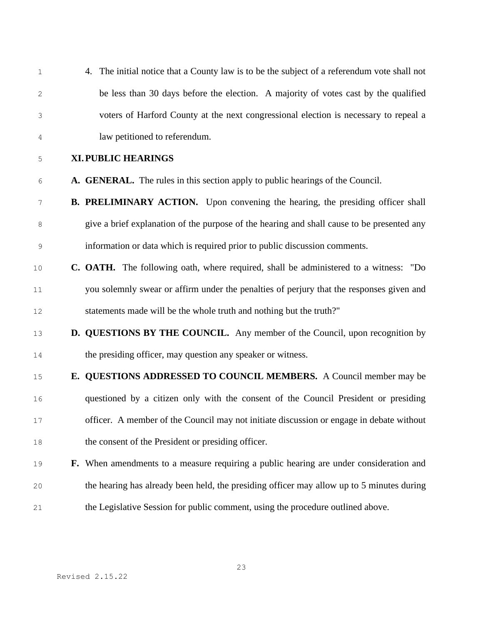| $\mathbf 1$ | 4. The initial notice that a County law is to be the subject of a referendum vote shall not |
|-------------|---------------------------------------------------------------------------------------------|
| 2           | be less than 30 days before the election. A majority of votes cast by the qualified         |
| 3           | voters of Harford County at the next congressional election is necessary to repeal a        |
| 4           | law petitioned to referendum.                                                               |
| 5           | <b>XI. PUBLIC HEARINGS</b>                                                                  |
| 6           | A. GENERAL. The rules in this section apply to public hearings of the Council.              |
| 7           | <b>B. PRELIMINARY ACTION.</b> Upon convening the hearing, the presiding officer shall       |
| 8           | give a brief explanation of the purpose of the hearing and shall cause to be presented any  |
| 9           | information or data which is required prior to public discussion comments.                  |
| 10          | <b>C. OATH.</b> The following oath, where required, shall be administered to a witness: "Do |
| 11          | you solemnly swear or affirm under the penalties of perjury that the responses given and    |
| 12          | statements made will be the whole truth and nothing but the truth?"                         |
| 13          | D. QUESTIONS BY THE COUNCIL. Any member of the Council, upon recognition by                 |
| 14          | the presiding officer, may question any speaker or witness.                                 |
| 15          | E. QUESTIONS ADDRESSED TO COUNCIL MEMBERS. A Council member may be                          |
| 16          | questioned by a citizen only with the consent of the Council President or presiding         |
| 17          | officer. A member of the Council may not initiate discussion or engage in debate without    |
| 18          | the consent of the President or presiding officer.                                          |
| 19          | F. When amendments to a measure requiring a public hearing are under consideration and      |
| 20          | the hearing has already been held, the presiding officer may allow up to 5 minutes during   |
| 21          | the Legislative Session for public comment, using the procedure outlined above.             |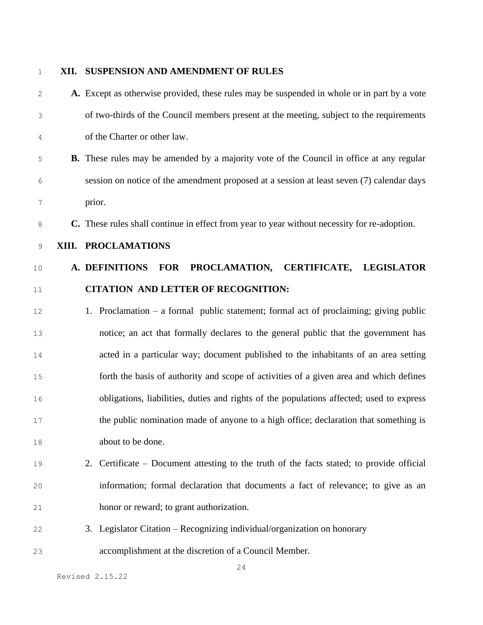#### **XII. SUSPENSION AND AMENDMENT OF RULES**

- **A.** Except as otherwise provided, these rules may be suspended in whole or in part by a vote of two-thirds of the Council members present at the meeting, subject to the requirements of the Charter or other law. **B.** These rules may be amended by a majority vote of the Council in office at any regular session on notice of the amendment proposed at a session at least seven (7) calendar days prior. **C.** These rules shall continue in effect from year to year without necessity for re-adoption. **XIII. PROCLAMATIONS A. DEFINITIONS FOR PROCLAMATION, CERTIFICATE, LEGISLATOR CITATION AND LETTER OF RECOGNITION:** 1. Proclamation – a formal public statement; formal act of proclaiming; giving public notice; an act that formally declares to the general public that the government has acted in a particular way; document published to the inhabitants of an area setting forth the basis of authority and scope of activities of a given area and which defines obligations, liabilities, duties and rights of the populations affected; used to express the public nomination made of anyone to a high office; declaration that something is about to be done. 2. Certificate – Document attesting to the truth of the facts stated; to provide official information; formal declaration that documents a fact of relevance; to give as an honor or reward; to grant authorization. 3. Legislator Citation – Recognizing individual/organization on honorary
- accomplishment at the discretion of a Council Member.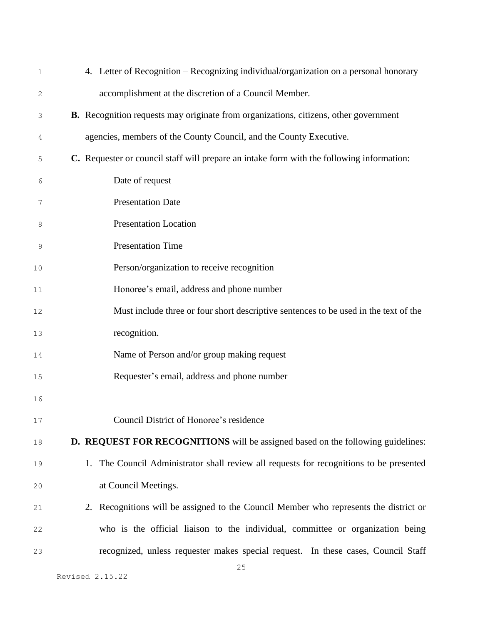| $\mathbf 1$    | 4. Letter of Recognition - Recognizing individual/organization on a personal honorary       |
|----------------|---------------------------------------------------------------------------------------------|
| 2              | accomplishment at the discretion of a Council Member.                                       |
| $\mathfrak{Z}$ | <b>B.</b> Recognition requests may originate from organizations, citizens, other government |
| 4              | agencies, members of the County Council, and the County Executive.                          |
| 5              | C. Requester or council staff will prepare an intake form with the following information:   |
| 6              | Date of request                                                                             |
| 7              | <b>Presentation Date</b>                                                                    |
| 8              | <b>Presentation Location</b>                                                                |
| 9              | <b>Presentation Time</b>                                                                    |
| $10$           | Person/organization to receive recognition                                                  |
| 11             | Honoree's email, address and phone number                                                   |
| 12             | Must include three or four short descriptive sentences to be used in the text of the        |
| 13             | recognition.                                                                                |
| 14             | Name of Person and/or group making request                                                  |
| 15             | Requester's email, address and phone number                                                 |
| 16             |                                                                                             |
| $17$           | Council District of Honoree's residence                                                     |
| $1\,8$         | D. REQUEST FOR RECOGNITIONS will be assigned based on the following guidelines:             |
| 19             | The Council Administrator shall review all requests for recognitions to be presented<br>1.  |
| $20$           | at Council Meetings.                                                                        |
| 21             | 2. Recognitions will be assigned to the Council Member who represents the district or       |
| 22             | who is the official liaison to the individual, committee or organization being              |
| 23             | recognized, unless requester makes special request. In these cases, Council Staff           |
|                |                                                                                             |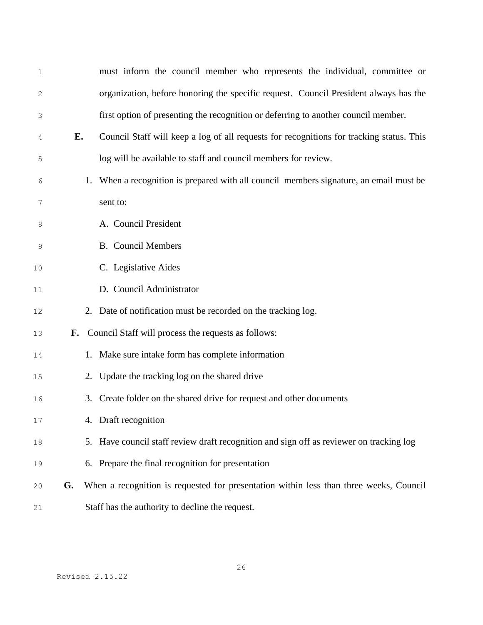| $\mathbf 1$ |    |    | must inform the council member who represents the individual, committee or               |
|-------------|----|----|------------------------------------------------------------------------------------------|
| 2           |    |    | organization, before honoring the specific request. Council President always has the     |
| 3           |    |    | first option of presenting the recognition or deferring to another council member.       |
| 4           | Е. |    | Council Staff will keep a log of all requests for recognitions for tracking status. This |
| 5           |    |    | log will be available to staff and council members for review.                           |
| 6           |    | 1. | When a recognition is prepared with all council members signature, an email must be      |
| 7           |    |    | sent to:                                                                                 |
| 8           |    |    | A. Council President                                                                     |
| 9           |    |    | <b>B.</b> Council Members                                                                |
| 10          |    |    | C. Legislative Aides                                                                     |
| 11          |    |    | D. Council Administrator                                                                 |
| 12          |    |    | 2. Date of notification must be recorded on the tracking log.                            |
| 13          |    |    | F. Council Staff will process the requests as follows:                                   |
| 14          |    |    | 1. Make sure intake form has complete information                                        |
| 15          |    |    | 2. Update the tracking log on the shared drive                                           |
| 16          |    | 3. | Create folder on the shared drive for request and other documents                        |
| 17          |    |    | 4. Draft recognition                                                                     |
| 18          |    |    | 5. Have council staff review draft recognition and sign off as reviewer on tracking log  |
| 19          |    | 6. | Prepare the final recognition for presentation                                           |
| 20          | G. |    | When a recognition is requested for presentation within less than three weeks, Council   |
| 21          |    |    | Staff has the authority to decline the request.                                          |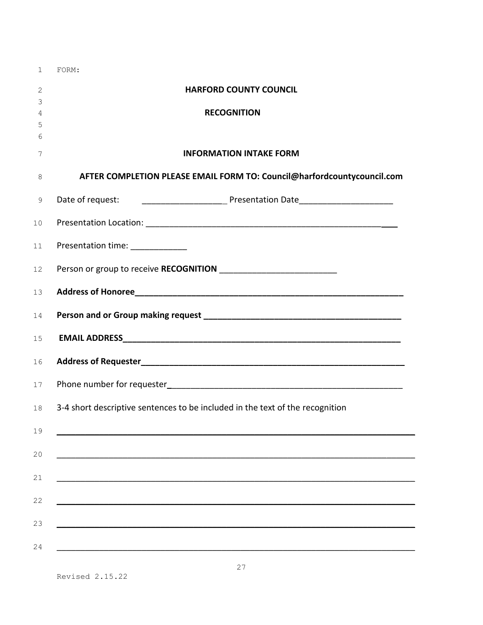| $\mathbf{1}$ | FORM:                                                                         |
|--------------|-------------------------------------------------------------------------------|
| 2            | <b>HARFORD COUNTY COUNCIL</b>                                                 |
| 3            |                                                                               |
| 4            | <b>RECOGNITION</b>                                                            |
| 5            |                                                                               |
| 6            | <b>INFORMATION INTAKE FORM</b>                                                |
| 7            |                                                                               |
| 8            | AFTER COMPLETION PLEASE EMAIL FORM TO: Council@harfordcountycouncil.com       |
| 9            |                                                                               |
| 10           |                                                                               |
| 11           | Presentation time: _____________                                              |
| 12           |                                                                               |
| 13           |                                                                               |
| 14           |                                                                               |
| 15           |                                                                               |
| 16           |                                                                               |
| 17           |                                                                               |
| 18           | 3-4 short descriptive sentences to be included in the text of the recognition |
| 19           |                                                                               |
| 20           |                                                                               |
| 21           |                                                                               |
| 22           |                                                                               |
| 23           |                                                                               |
| 24           |                                                                               |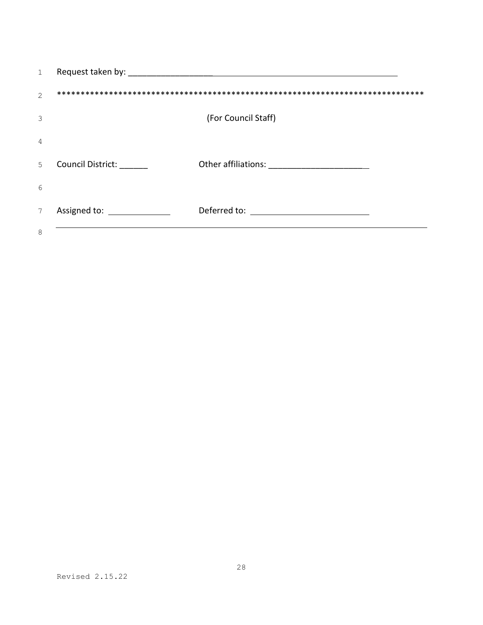| $\mathbf{1}$   |                           |                     |
|----------------|---------------------------|---------------------|
| $\overline{2}$ |                           |                     |
| 3              |                           | (For Council Staff) |
| 4              |                           |                     |
| 5              | <b>Council District:</b>  |                     |
| 6              |                           |                     |
| $\overline{7}$ | Assigned to: Assigned to: | Deferred to:        |
| 8              |                           |                     |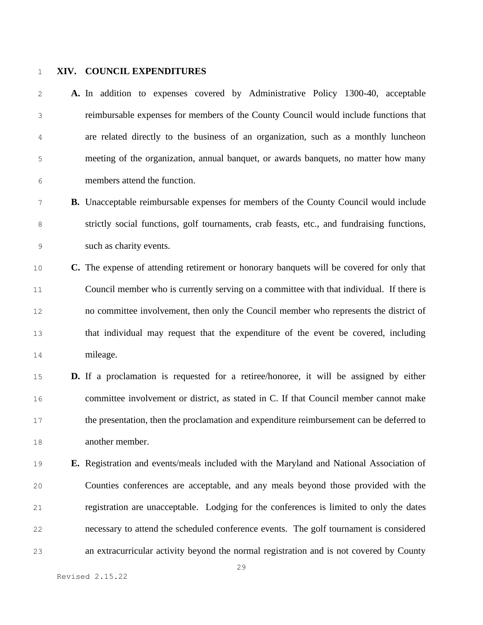#### **XIV. COUNCIL EXPENDITURES**

 **A.** In addition to expenses covered by Administrative Policy 1300-40, acceptable reimbursable expenses for members of the County Council would include functions that are related directly to the business of an organization, such as a monthly luncheon meeting of the organization, annual banquet, or awards banquets, no matter how many members attend the function.

- **B.** Unacceptable reimbursable expenses for members of the County Council would include strictly social functions, golf tournaments, crab feasts, etc., and fundraising functions, such as charity events.
- **C.** The expense of attending retirement or honorary banquets will be covered for only that Council member who is currently serving on a committee with that individual. If there is no committee involvement, then only the Council member who represents the district of that individual may request that the expenditure of the event be covered, including mileage.
- **D.** If a proclamation is requested for a retiree/honoree, it will be assigned by either committee involvement or district, as stated in C. If that Council member cannot make the presentation, then the proclamation and expenditure reimbursement can be deferred to another member.
- **E.** Registration and events/meals included with the Maryland and National Association of Counties conferences are acceptable, and any meals beyond those provided with the registration are unacceptable. Lodging for the conferences is limited to only the dates necessary to attend the scheduled conference events. The golf tournament is considered an extracurricular activity beyond the normal registration and is not covered by County